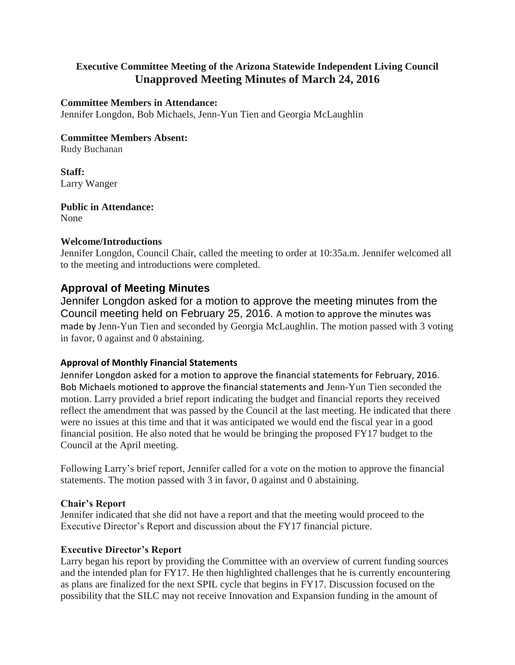# **Executive Committee Meeting of the Arizona Statewide Independent Living Council Unapproved Meeting Minutes of March 24, 2016**

### **Committee Members in Attendance:**

Jennifer Longdon, Bob Michaels, Jenn-Yun Tien and Georgia McLaughlin

### **Committee Members Absent:**

Rudy Buchanan

**Staff:** Larry Wanger

**Public in Attendance:** None

### **Welcome/Introductions**

Jennifer Longdon, Council Chair, called the meeting to order at 10:35a.m. Jennifer welcomed all to the meeting and introductions were completed.

## **Approval of Meeting Minutes**

Jennifer Longdon asked for a motion to approve the meeting minutes from the Council meeting held on February 25, 2016. A motion to approve the minutes was made by Jenn-Yun Tien and seconded by Georgia McLaughlin. The motion passed with 3 voting in favor, 0 against and 0 abstaining.

### **Approval of Monthly Financial Statements**

Jennifer Longdon asked for a motion to approve the financial statements for February, 2016. Bob Michaels motioned to approve the financial statements and Jenn-Yun Tien seconded the motion. Larry provided a brief report indicating the budget and financial reports they received reflect the amendment that was passed by the Council at the last meeting. He indicated that there were no issues at this time and that it was anticipated we would end the fiscal year in a good financial position. He also noted that he would be bringing the proposed FY17 budget to the Council at the April meeting.

Following Larry's brief report, Jennifer called for a vote on the motion to approve the financial statements. The motion passed with 3 in favor, 0 against and 0 abstaining.

### **Chair's Report**

Jennifer indicated that she did not have a report and that the meeting would proceed to the Executive Director's Report and discussion about the FY17 financial picture.

### **Executive Director's Report**

Larry began his report by providing the Committee with an overview of current funding sources and the intended plan for FY17. He then highlighted challenges that he is currently encountering as plans are finalized for the next SPIL cycle that begins in FY17. Discussion focused on the possibility that the SILC may not receive Innovation and Expansion funding in the amount of